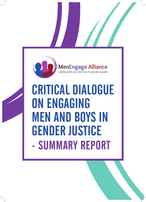

CRITICAL DIALOGUE ON ENGAGING MEN AND BOYS IN GENDER JUSTICE - SUMMARY REPORT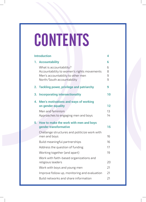# **CONTENTS**

|  | <b>Introduction</b>                                                                                                                                           | 4                     |
|--|---------------------------------------------------------------------------------------------------------------------------------------------------------------|-----------------------|
|  | 1. Accountability<br>What is accountability?<br>Accountability to women's rights movements<br>Men's accountability to other men<br>North/South accountability | 6<br>6<br>8<br>9<br>9 |
|  | 2. Tackling power, privilege and patriarchy                                                                                                                   | 9                     |
|  | 3. Incorporating intersectionality                                                                                                                            | 10                    |
|  | 4. Men's motivations and ways of working<br>on gender equality<br>Men and feminism<br>Approaches to engaging men and boys                                     | 12<br>13<br>14        |
|  | 5. How to make the work with men and boys<br>gender transformative<br>Challenge structures and politicize work with                                           | 15                    |
|  | men and boys                                                                                                                                                  | 16                    |
|  | Build meaningful partnerships                                                                                                                                 | 16                    |
|  | Address the question of funding                                                                                                                               | 17                    |
|  | Working together (and apart)                                                                                                                                  | 19                    |
|  | Work with faith-based organizations and<br>religious leaders                                                                                                  | 20                    |
|  | Work with boys and young men                                                                                                                                  | 21                    |
|  | Improve follow up, monitoring and evaluation                                                                                                                  | 21                    |
|  | Build networks and share information                                                                                                                          | 21                    |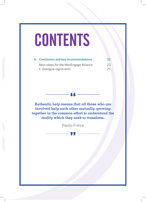# **CONTENTS**

| <b>6. Conclusion and key recommendations</b> | 22 <sub>2</sub> |
|----------------------------------------------|-----------------|
| Next steps for the MenEngage Alliance        | 23              |
| E-Dialogue registrants                       | 25              |

**Authentic help means that all those who are involved help each other mutually, growing together in the common effort to understand the reality which they seek to transform.**

Paolo Freire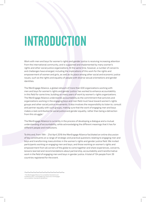# INTRODUCTION

Work with men and boys for women's rights and gender justice is receiving increasing attention from the international community, and is supported and implemented by many women's rights and other social justice organizations. At the same time, however, a number of concerns and challenges have emerged, including the implications of this work for the rights and empowerment of women and girls, as well as its place among other social and economic justice issues, such as the rights and equality of people with diverse sexual orientations and gender identities.

The MenEngage Alliance, a global network of more than 630 organizations working with men and boys for women's rights and gender justice, has worked to enhance accountability in this field for some time, building on many years of work by women's-rights organizations. The MenEngage Alliance understands accountability as the commitment that activists and organizations working in the engaging boys and men field must have toward women's rights groups and other social justice movements. It also involves the responsibility to listen to, consult and partner equally with such groups, making sure that the work of engaging men and boys makes a real contribution to social justice and gender equality, rather than being a detraction from this struggle.<sup>1</sup>

The MenEngage Alliance is currently in the process of developing a dialogue and a mutual understanding of accountability, while acknowledging the different meanings that it has for different people and institutions.

To this end, from 19th - 21st April 2016 the MenEngage Alliance facilitated an online discussion of key constituents on a range of strategic and practical questions relating to engaging men and boys and transforming masculinities in the women's rights and gender justice field. We invited participants working on engaging men and boys, and those working on women's rights and empowerment from all corners of the globe to come together and share experiences, concerns, lessons learned and recommendations about partnership, accountability and transformative work in the field of engaging men and boys in gender justice. A total of 134 people from 39 countries registered for the event.

1 The MenEngage Alliance Accountability Standards and Guidelines http://menengage.org/resources/menengageaccountability-standards-guidelines/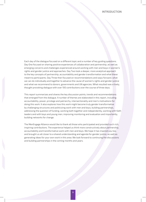Each day of the dialogue focused on a different topic and a number of key guiding questions. Day One focused on sharing positive experiences of collaboration and partnership, as well as emerging concerns and challenges experienced around working with men and boys in women's rights and gender justice and approaches. Day Two took a deeper, more analytical approach to the key concepts of partnership, accountability and gender transformation and what these meant to participants. Day Three then focused on recommendations and ways forward, what we can do individually and together to advance the cause of women's rights and gender justice and what we recommend to donors, governments and UN agencies. What resulted was a lively, thought provoking dialogue with over 100 contributions over the course of three days.

This report summarizes and shares the key discussion points, trends and recommendations that emerged from the dialogue. A number of themes are elaborated in this report, including accountability, power, privilege and patriarchy, intersectionality and men's motivations for doing this work. It also explores how this work might become truly gender transformative by challenging structures and politicizing work with men and boys, building partnerships, addressing the question of funding, working both together and independently, working with faith leaders and with boys and young men, improving monitoring and evaluation and importantly, building networks for change.

The MenEngage Alliance would like to thank all those who participated and provided such rich, inspiring contributions. The experience helped us think more constructively about partnership, accountability and transformative work with men and boys. We hope it has inspired you too, and brought us all closer to a shared understanding and agenda for gender justice, as well as generating ideas for your own work in this area. We look forward to continuing the discussions and building partnerships in the coming months and years.

**5**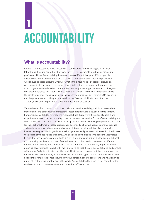# ACCOUNTABILITY **1**

#### **What is accountability?**

It is clear that accountability is an issue that contributors to the e-dialogue have given a lot of thought to, and something they work actively to incorporate into their personal and professional lives. Accountability, however, means different things to different people. Several contributors commented on the lack of a clear definition of the concept. Exactly who should be accountable to whom, or what, in this field was a key topic of discussion. Accountability to the women's movement was highlighted as an important strand, as well as to programme beneficiaries, communities, donors, partner organizations and colleagues. Participants referred to accountability to their own families, to the next generation, and to the ideals of gender equality and social justice. Accountability of governments, UN agencies and the private sector to the public, as well as men's responsibility to hold other men to account, were other important aspects identified in the discussion.

Various levels of accountability, such as horizontal, vertical and diagonal; interpersonal and institutional; and personal and professional accountability were discussed. In this context, horizontal accountability refers to the responsibilities that different civil society actors and organizations have to act accountably towards one another. Vertical forms of accountability are those in which citizens and their associations play direct roles in holding the powerful to account for their actions. Personal accountability was described as how we address our own practice, striving to ensure we behave in equitable ways. Interpersonal or relational accountability involves strategies to build gender-equitable dynamics and processes in interaction. It addresses the politics of whose voices are heard, who decides and who leads, who does the less visible behind-the-scenes work, whose efforts are given attention and praise, and so on. Institutional accountability involves structures of consultation and collaboration between the different strands of the gender justice movement. This was identified as particularly important when planning new initiatives to work with men and boys, so that they are accountable to, and consult with, women's rights activists and other social justice groups. Many contributors stressed the importance of accountability at all these levels. In particular, personal accountability was seen as essential for professional accountability. Our personal beliefs, behaviours and relationships must reflect those we want to see in the world. Accountability, therefore, is not something that can be exercised in one environment and switched off in another.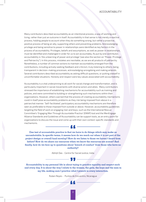#### ACCOUNTABILITY

Many contributors described accountability as an intentional process, a way of working and living, rather than just an outcome in itself. Accountability in that sense is not merely a reactive process, holding people to account when they do something wrong, but rather a proactive, positive process of being an ally, supporting others and preventing problems. Acknowledging privilege and being sensitive to power in relationships were identified as key factors in the process of accountability. Privileges, beliefs and assumptions, as well as power in relationships, must be identified and challenged in order for us to act accountably. As put by one contributor, accountability is 'the unlearning of power and privilege' (see also the section on "Power, Privilege and Patriarchy"). In this process, mistakes are inevitable, as we are all products of patriarchy. Nonetheless, a number of common actions to maintain accountability emerged from the contributions, including actively seeking feedback and criticism, truly listening to others, being transparent in decision-making processes, acknowledging wrongdoing and making amends. Several contributors described accountability as asking difficult questions, or putting oneself in uncomfortable situations. Honesty and respect were key values associated with accountability.

Accountability is a vital underpinning to all work for social change and transformation, and is particularly important in social movements with diverse actors and allies. Many contributors stressed the importance of establishing mechanisms for accountability such as training and policies, and were committed to building or strengthening such mechanisms within their organizations. However, others warned that the process of creating accountability mechanisms could in itself pose accountability problems as they risk being imposed from above in a patriarchal manner. 'Self-facilitated', participatory accountability mechanisms are therefore seen as preferable to those imposed from outside or above. However, accountability guidelines targeting the field of work on engaging men and boys, such as the International Rescue Committee's 'Engaging Men Through Accountable Practice' (EMAP) tool and the MenEngage Alliance Standards and Guidelines of Accountability can be support tools, as an entry point for organizations to discuss the issue and come up with their own context-specific standards and mechanisms.

**One test of accountable practice is that we have to do things which may make us uncomfortable. In specific terms, it means how do we reach out when it is not part of the project design or overall fund envelop? How do we listen to those we haven't heard from before? How do we share our resources when we know the resources are scarce? And finally, how do we face up to questions about 'breach of conduct' from those who have no authority?**

Abhijit Das - Centre for Social Justice, India

—— ""——

**Accountability in my personal life is about trying to practice equality and respect each and every day. It is about the way I relate to the women, the girls, the boys and the men in my life, making sure I practice what I preach in every interaction.**

Ruben Reyes - Puntos de Encuentro, Nicaragua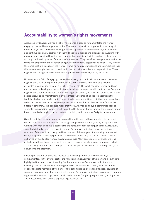#### **Accountability to women's rights movements**

Accountability towards women's rights movements is seen as fundamental to the work of engaging men and boys in gender justice. Many contributors from organizations working with men and boys described how these organizations grew out of the women's-rights movement and continue to actively partner with them. Those from groups and organizations working with men and boys explained how they were founded on feminist principles, and owed their existence to the groundbreaking work of the women's movement. They therefore have gender equality, the rights and empowerment of women and girls as their overall objective and vision. Many started their organizations to support the work of women's-rights organizations and later realized that this was not enough; they had to work with men on their own roles and responsibilities. These organizations are generally trusted and supported by women's-rights organizations.

However, as the field of engaging men and boys has grown rapidly in recent years, many new organizations have emerged that do not necessarily have the same grounding in feminist principles or connection to women's-rights movements. The work of engaging men and boys may be done by development organizations that do not seek partnerships with women's-rights organizations nor have women's rights and/or gender equality as a key area of focus, but rather see it an issue to be 'mainstreamed' or 'integrated'. Gender can be used to depoliticize the feminist challenge to patriarchy, to compel it to be 'nice' and soft, so that it becomes something technical that focuses on individual empowerment rather than on the structural factors that underpin patriarchy. This can also mean that work with men and boys is sometimes seen as separate from working towards gender equality. On the other hand, some of these organizations have pro-actively sought to build trust and credibility with the women's rights movements.

Overall, contributors from organizations working with men and boys reported high levels of support and collaboration with women's-rights organizations and a growing acceptance that working with men and boys is essential to the achievement of gender justice for all. However, some highlighted experiences in which women's-rights organizations have been critical or sceptical of their work, and many had been warned of the dangers of reinforcing paternalistic roles, taking over leadership positions from women, dominating spaces for conversation and siphoning off funding for work with women and girls. Many contributors have been working actively to address these concerns, to partner with women's-rights organizations and to build accountability into these partnerships. This involves pro-active processes that require a great deal of time and attention.

Several participants emphasized the need to frame engagement with men and boys as complementary to the overall goal of the rights and empowerment of women and girls. Others highlighted the importance of seeking feedback from women's-rights organizations and involving them in their decision-making processes, for example allocating a certain number of board seats to members of women's-rights organizations, or creating 'advisory councils' of women's organizations. Others have invited women's-rights organizations to conduct programs together with men and boys, have contributed to women's-rights programmes by adding a men and masculinities lens, or have engaged in joint advocacy.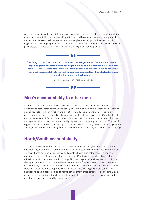#### ACCOUNTABILITY

A number of participants raised the notion of mutual accountability in this context, highlighting a need for accountability of those working with men and boys to women's-rights organizations, and also mutual accountability, respect and learning between all gender justice actors. All organizations working on gender issues must be accountable to each other, but also to feminist principles, to a shared set of values and to the overall goal of gender justice.



**One thing that strikes me is that in many of these experiences, the work with men and boys has grown out from women-led organizations and interventions. This is a key example of where accountability moves from principle to practice - how do you ensure your work is accountable to the individuals and organizations that started it off, and created the space for it to happen?**

Jacqui Stevenson - ATHENA Network, UK

#### **Men's accountability to other men**

Another strand of accountability that was discussed was the responsibility of men to hold other men to account for harmful behaviour. (Pro-) feminist men have a responsibility to stand up against violence, discrimination and any other harmful behaviour they witness. As one contributor mentioned, it should not be women's role to hold men to account. Men should hold each other to account. Several contributors discussed the importance of calling out other men for negative behaviour or comments, and highlighted the courage required to do so. The rise of regressive, 'anti-women's rights' groups was mentioned, and the key role that the engaging men and boys in women's rights and gender justice movements could play in response to such groups

#### **North/South accountability**

Accountability between those in the global North and those in the global South was another important layer identified. A number of participants expressed the need for greater worldwide solidarity based on principles of justice and equality. It was also noted there is a danger of pushing Northern goals and aspirations on the global South, ignoring cultural context and mimicking patriarchal power relations. Large, Northern organizations have a responsibility to the organizations and communities they work with in the South to listen to their concerns and make meaningful adaptations of their interventions to local cultures and contexts. In order to truly work in locally rooted approaches, small, local NGOs working on gender equality must be supported and funded, including by large development organizations. Mid- and small-size organizations, including in the global South, should also have direct access to and ownership over their own resources, on their own terms.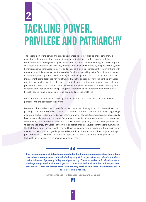# TACKLING POWER, PRIVILEGE AND PATRIARCHY **2**

The recognition of the power and privileges granted to certain groups under patriarchy is essential to the pursuit of accountability and meaningful partnerships. Many contributors reminded us that privilege and injustice are often invisible to the dominant group in society, and that most men are unaware how they are both privileged and harmed by the patriarchal system. For this reason, acknowledging power and privilege is a crucial component in interventions with men and boys. It is also an essential exercise for all those working in the field of gender justice; in particular, those granted certain privileges based on gender, class, ethnicity or other factors. Many contributors described having struggled with the question of how to use their privileged position in a positive way to challenge the unequal/unjust system, and how to avoid replicating patriarchal power structures in their work. While there was no clear-cut answer to this question, constant reflection on power and privilege was identified as an important element that has brought added value to contributors' personal and professional lives.

For many, it was identified as a missing dimension which has provided a link between the personal and the political in their work.

Many contributors described uncomfortable experiences of being faced with the reality of the privileged position they hold in society at the expense of others, and the difficulty of beginning to dismantle such deeply ingrained privileges. A number of contributors, however, acknowledged a level of scepticism among the women's-rights movements that men would ever truly renounce their privilege and noted that some 'pro-feminist' men display only symbolic change and want to continue to enjoy privileges in their work and relationships. Several contributors highlighted the fact that a lot of the work with men and boys for gender equality is done without an in-depth analysis of patriarchy and gender power relations. In addition, while emphasizing the damage patriarchy causes to men is an important aspect of the work, power and privilege must be tackled head on in order to go beyond superficial change.

**I have seen many well intentioned men in the field of male engagement having to look inwards and recognize ways in which they may still be perpetuating behaviours which reflect the use of power, privilege and patriarchy. These attitudes and behaviours are so deeply ingrained within each person. I have watched with wonder and respect how these men … chose the tough road to be not only more accountable in their work, but in their personal lives too.**

Kamani Jinadasa - Independent Consultant, Sri Lanka

, , ,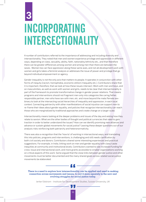# INCORPORATING INTERSECTIONALITY **3**

A number of contributors referred to the importance of addressing and including diversity and intersectionality. They noted that men and women experience privilege and oppression in different ways, depending on class, sexuality, ability, faith, nationality/ethnicity etc., and that therefore there can be greater differences among women and among men than there are between the sexes. Women too can face oppression along these same axes, and not all development work with women and girls takes a feminist analysis or addresses the issue of power and privilege that go beyond individual empowerment or agency.

Gender inequality is not the only axis that matters to people. It operates in conjunction with other forms of inequity (racism, homophobia, economic elitism/inequality etc.). Contributors share that it is important, therefore, that we look at how these issues intersect. Work with men and boys, and on masculinities, as well as work with women and girls, needs to be clear that intersectionality is part of the framework to promote transformative change in gender power relations. That means programs and interventions should not fragment men only into categories like caring father, responsible partner, men who have sex with men, etc. and move beyond the male/female sexbinary to look at the intersecting social hierarchies of inequality and oppression, in each local context. Connecting patriarchy with other manifestations of social injustice can support men to re-frame their ideas about gender equality, and policies that recognize intersectionality can reach those who are marginalized by traditional approaches and create change on a larger scale.

Intersectionality means looking at the deeper problems and issues of the day and asking how they relate to sexism. What are the other bodies of thought and political currencies that need to gain traction in order to better understand the issues? How can we identify promising new alliances and advance or sustain global movements for social justice? Leaving these deeper questions out of our analysis risks reinforcing both patriarchy and heteronormativity.

There was also a recognition that the 'how to' of working in intersectional ways, and translating this into policies, programs and interventions, is challenging and still needs clarification by both civil society and donors. Contributors shared some interesting experiences and practical suggestions. For example, in India, linking work on men and gender equality with class/caste inequities at community and institutional levels. Contributors wanted to see increased funding for cross-issue and intersectional work, and more grants accessible to smaller organizations working on critical aspects of this work. Some argued that the close links between gender justice and other movements must be better documented and the many shared goals across related social justice movements be elaborated.

 **There is a need to explore how intersectionality can be applied and used in making connection across movements and issues, to root it more squarely in the new and evolving struggles for social justice today.**

Jerker Edstrom - Institute for Development Studies, Sussex University, UK

**11**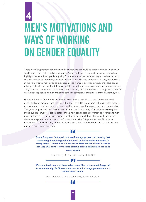## MEN'S MOTIVATIONS AND WAYS OF WORKING ON GENDER EQUALITY **4**

There was disagreement about how and why men are or should be motivated to be involved in work on women's rights and gender justice. Some contributors were clear that we should not highlight the benefits of gender equality for men themselves, because they should not be doing this work out of self-interest, and need instead to learn to give something up. They argued that, in their experience, men involved in gender justice work are doing so because they care about other people's lives, and about the pain and the suffering women experience because of sexism. They stressed that it should be altruism that is fuelling the commitment to change. We should be careful about prioritizing men and boy's sense of comfort with this work, or their centrality to it.

Other contributors felt there was need to acknowledge and address men's own gendered needs and vulnerabilities, and the ways that they too suffer, for example through male violence against men, alcohol and drug use, male suicide rates, lower life expectancy, and homophobia. This group argued that the international development community often refuses to recognize men's plight because it is too invested in the binary construction of women as victims and men as perpetrators. Here a link was made to neoliberalism and globalization, and the pressure the current system puts on men to perform economically. This pressure to fulfil society's expectations comes not only from male peers and leaders, but also from their own wives and partners, sisters and mothers.

> **I would suggest that we do not need to engage men and boys by first convincing them that gender justice is in their own best interest. In many ways, it is not. And it does not address the individual's reality that they will have to give some stuff up, if men and women are to be really equal.**

> > Chuck Derry - Gender Violence Institute, USA

— 99 —

**We cannot ask men and boys to become allies to 'do something good' for women and girls. If we want to sustain their engagement we must address their needs.**

Rujuta Teredesai - Equal Community Foundation, India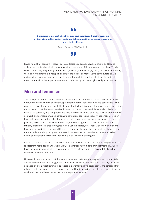#### MEN'S MOTIVATIONS AND WAYS OF WORKING ON GENDER EQUALITY



Anand Pawar – SAMYAK, India

It was noted that economic insecurity could destabilize gender power relations and lead to violence or create a backlash from men as they lose some of their power and privilege. This is key to addressing the growing number of regressive groups of 'angry men', and to understanding their 'pain', whether this is real pain or simply the loss of privilege. Some contributors saw it as important to understand men's needs and vulnerabilities and the links to socio-political developments in order to prevent men from undermining women's rights and gender justice.

#### **Men and feminism**

The concepts of 'feminism' and 'feminist' arose a number of times in the discussions, but were not fully explored. There was general agreement that the work with men and boys needs to be rooted in feminist principles, but little debate about what this meant. There was some discussion about the fact that there are many feminisms, not one, and that feminists are also divided by race, class, sexuality and geography, and take different positions on issues such as prostitution/ sex work and pornography, democracy, militarization, peace and security, nationalism, religion, love- relations- sexualities, development, globalization, privatization, private profit, private property, access and control over resources, food security, social securities, macro-economic, military expenditures, property rights, North-South debates, etc. Those working with men and boys and masculinities also take different positions on this, and there needs to be dialogue and mutual understanding, though not necessarily consensus, on these issues when they arise. Feminist movements across the world have a lot to offer in this regard.

It was also pointed out that, as the work with men and boys in women's rights and gender justice is becoming more popular, there are likely to be increasing numbers of initiatives that will not have the feminist roots that were common in the past. (see section on Accountability to the women's movement above.)

However, it was also noted that there are many men, particularly young men, who are acutely aware, well-informed and plugged-into feminist work. Many men described their organizations as based on a feminist framework or rooted in a women's rights perspective, and stressed that alliances with the women's rights movements and feminist politics have to be an intrinsic part of work with men and boys, rather than just a separate strategy.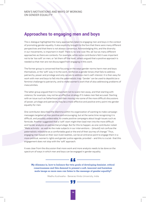### **Approaches to engaging men and boys**

The e-dialogue highlighted the many approaches taken to engaging men and boys in the context of promoting gender equality. It also explicitly brought to the fore that there were many different perspectives and that there is not always consensus. Acknowledging this, and the diversity in our movements, is important in itself. There is no 'one-size-fits-all' but as many different approaches as there are contexts. For example, while some contributors felt it was important not to be 'too soft' on men, or 'let them off the hook', others argued that a positive approach is needed so that men are not discouraged from engaging in this work.

The former group is concerned that focusing on the ways gender norms harm men and boys themselves, or the 'soft' way in to the work, reinforces a gender binary that fails to address patriarchy, power and privilege and only serves to address men's self-interest. It is then easy for work with men and boys to fall into the paternalistic trap. 'Gender' can be used to depoliticize a feminist challenge to patriarchy, and to make women's work that of also addressing problems of masculinities.

The latter group argued that it is important not to scare men away, and that starting with violence, for example, may not be an effective strategy if it makes men feel accused. Starting with an issue such as fatherhood and then moving into some of the more difficult discussions of power, privilege and patriarchy may be a more effective and positive entry point into gender equality for men.

One contributor described the dilemma within his organization of wanting to make campaign messages targeted at men positive and encouraging, but at the same time recognizing it is difficult, and possibly undesirable, to create positive campaigns about tough issues such as femicide. Another suggested that a 'soft' start might then lead men into the more difficult and harder analysis on patriarchal privilege. But for this to happen, as one contributor noted: "Male activists - as well as the male subjects in our interventions – [should] not confuse the paternalistic milestone as a comfortable goal or the end of their journey of change." Thus, engaging men based on their own lived realities, can be an entrance point to engage them in a more political, women's rights and gender justice agenda, provided – and this is crucial- that this engagement does not stop with the 'soft' approach.

It was clear from the discussion that more work and more analysis needs to be done on the spectrum of ways in which men and boys can be engaged in gender equality.

**My dilemma is, how to balance the twin goals of developing feminist, critical consciousness and this demand to present a soft, innocent and harmless male image so more men can listen to the message of gender equality?**

 $-$  66  $-$ 

Madhu Kushwaha - Banaras Hindu University, India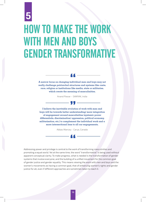## HOW TO MAKE THE WORK WITH MEN AND BOYS GENDER TRANSFORMATIVE **5**

**A narrow focus on changing individual men and boys may not really challenge patriarchal structures and systems like caste, race, religion or institutions like media, state or militaries, which create the meaning of masculinities.**

Anand Pawar – SAMYAK, India

**I believe the inevitable evolution of work with men and boys will be towards better understanding/ more integration of engagement around masculinities (systemic power differentials, discrimination/ oppression, political economy, militarization, etc.) to complement the individual work and a more intersectional lens to all our engagements.**

Abbas Mancey - Carya, Canada

Addressing power and privilege is central to the work of transforming masculinities and promoting a equal world. Yet at the same time, the word "transformative" is being used without apparent conceptual clarity. To make progress, what is needed is the transformation of gender systems that involve everyone, and the building of a unified movement for the common goal of gender justice and gender equality. This means viewing the work with men and boys and the women's movements as having a common goal, that of enhancing women's rights and gender justice for all, even if different approaches are sometimes taken to reach it.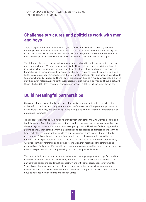### **Challenge structures and politicize work with men and boys**

There is opportunity, through gender analysis, to make men aware of patriarchy and how it interplays with different injustices. From there, they can be mobilized for broader social justice issues, for example economic or climate injustice. However, some interventions with men and boys remain apolitical and do not focus on issues like sexual diversity or sexual rights.

The difference between working with men and boys and working with masculinities emerged as a common theme. While working at an individual level with men and boys is important, it is also important to challenge the larger, political structures of patriarchy and issues such as homophobia, militarization, political economy, etc. There is a need to politicize work with men further, as many of you reminded us that 'the personal is political'. Men also need to learn how to turn their changed attitudes and behaviours into action in their community, where they are often still the power-holders. As one contributor noted, most of the work on men and boys is still with those who hold the least power in their communities, even if they still wield it in the home.

### **Build meaningful partnerships**

Many contributors highlighted a need for collaborative or more deliberate efforts to listen to, learn from, build on and complement the women's movements' long-standing experience with analysis, advocacy and organizing. In the dialogue as a whole, the word 'partnership' was mentioned 155 times!

True collaboration means building partnerships with each other and with women's rights and feminist groups. Contributors agreed that partnerships are experienced as more positive when they are organic, rather than induced - for example by donors. They identified making time for getting to know each other, defining expectations and boundaries, and reflecting and learning from each other as important factors to be built into partnerships to make them mutually accountable. This applies at all levels: from boardrooms to the community, as well as crossnational/regional partnerships. There is a need to collaborate on an agreed set of principles, with clear terms of reference and an ethical foundation that recognizes the strengths and perspectives of all parties. Partnership involves stretching our own ideologies to understand the others' perspective, without compromising our own principles and values.

This need to build and nurture partnerships between the engaging men and boys field and the women's movements was stressed throughout the three days, as well as the need to create partnerships across the gender justice spectrum and with other social justice movements. Several contributors also mentioned the need for more partnerships with governments, institutions and service deliverers in order to maximise the impact of the work with men and boys, to advance women's rights and gender justice.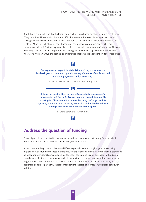#### HOW TO MAKE THE WORK WITH MEN AND BOYS GENDER TRANSFORMATIVE

Contributors reminded us that building equal partnerships based on shared values is not easy. They take time. They may involve some difficult questions, for example, can you partner with an organization which advocates against abortion to talk about sexual violence and domestic violence? Can you talk about gender-based violence in places where women's rights are severely restricted? Partnerships are also difficult to forge in the absence of resources. They are challenged when there is competition for funding and the desire to gain recognition. We must, therefore, find new ways of sustaining partnerships that are not dependent on donor resources.



**Transparency, respect, joint decision making, collaborative leadership and a common agenda are key elements of a vibrant and viable engagement and partnership.**

Patricia T. Morris, Ph.D – Morris Consulting, USA



Srilatha Batliwala - AWID, India

### **Address the question of funding**

Several participants pointed to the issue of scarcity of resources, particularly funding, which remains a topic of much debate in the field of gender equality.

First, there is a deep concern that small NGOs, especially women's-rights groups, are being squeezed out as funding focuses increasingly on larger organizations. International development is becoming increasingly privatized to big Northern consultancies and the space for funding for smaller organizations is decreasing – which means that is it more necessary than ever to work together. This feeds into the issue of North/South accountability and the responsibility of large Northern donors to partner with local organizations instead of reproducing hierarchical power relations.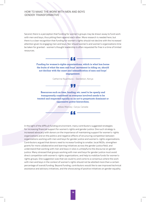#### HOW TO MAKE THE WORK WITH MEN AND BOYS GENDER TRANSFORMATIVE

Second, there is a perception that funding for women's groups may be drawn away to fund work with men and boys, thus pitting them against each other. More research is needed here, but there is a clear recognition that funding for women's rights should not decline with the increased attention given to engaging men and boys. Nor should women's and women's organizations time be taken for granted - women's thought leadership is often requested for free in a time of limited resources.



**Funding for women's-rights organizations, which is what has borne the fruits of what the men and boys' movement is riding on, should not decline with the onset and intensification of men and boys' engagement.**

Catherine Nyambura – Dandelion, Kenya

, , , .

**Resources such as time, funding, etc. need to be openly and transparently considered as everyone involved needs to be treated and respected equally so as not to perpetuate dominant or oppressive power hierarchies.**

Abbas Mancey -Carya, Canada

In the light of the difficult funding environment, many contributors suggested strategies for increasing financial support for women's rights and gender justice. One such strategy is increased advocacy with donors on the importance of maintaining support for women's-rights organizations and on the politics and negative effects of structuring competition between organizations working with men and boys for gender justice and women's-rights organizations. Contributors argued that donors need to increase funding to smaller, local NGOs, strengthen grants for more collaborative and learning initiatives across the gender justice field, and understand that working with men and boys in silos is unhelpful to the discourse on gender justice. Many stressed that groups working with men and boys for gender justice must avoid direct competition with women's-rights organizations, and help to mobilize funds for women'srights groups. One suggestion was that we could try and come to a consensus where the work with men and boys in the context of women's rights should not be allotted more than a certain percentage of overall funding. Beyond funding, contributors would like to see improved technical assistance and advisory initiatives, and the showcasing of positive initiatives on gender equality.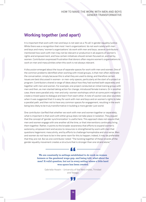### **Working together (and apart)**

It is important that work with men and boys is not seen as a 'fix all' in gender equality/justice. While there was a recognition that most 'men's organizations' do not work solely with men and boys and many 'women's organizations' do work with men and boys, several contributors mentioned how work with men may not be relevant or productive in all aspects of women's rights and empowerment, and how certain initiatives should remain focused on, and led by, women. Contributors expressed frustration that donors often require women's organizations to work on men and masculinities when this work is not always relevant.

A discussion emerged about the issue of separate spaces for work with men and women. One of the common problems identified when working with mixed groups, is that men often dominate the conversation, simply because this is what they are used to doing, and therefore certain issues are best discussed in women- or men-only spaces, particularly at the start of a project or program. Contributors shared a range of ideas about how they had worked both separately and together with men and women. For example, one project conducted an initial training group with men and then, as men started taking action for change, introduced female trainers. Or in another case, there were parallel only-men and only-women workshops which at some point merged to create a mixed space to dialogue and learn from each other. A note of caution was also sounded, when it was suggested that it is easy for work with men and boys and on women's rights to take a parallel path, and then not to have any common spaces for engagement, resulting in the work being less likely to be truly transformative in building a more gender-just world.

One contributor clarified that whether we work with men and women together or separately, what is important is that work with either group does not take place in isolation. They argued that the concept of 'gender synchronization' is useful here. This approach does not require that men and women engage with one another all the time, or that interventions continually bring them together. Rather, it points to the broader awareness that efforts to expand women's autonomy, empowerment and access to resources is strengthened by work with men that questions hegemonic masculinity, and by efforts to challenge homophobia and vice versa. Men and women do not have to be in the same room for this to happen; indeed, it may be preferable that they are not. But as one contributor noted: "The twisting together of these strands of the gender equality movement creates a structure that is stronger than one strand alone."

> **We are constantly in settings established to do work on women farmers or the gendered wage gap, and being told, what about the men? A valid question, but not in every setting where a little hard won space has been created.**

66 -

Gabrielle Hosein – University of the West Indies, Trinidad and Tobago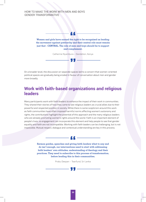#### HOW TO MAKE THE WORK WITH MEN AND BOYS GENDER TRANSFORMATIVE

**Women and girls have earned the right to be recognized as leading the movement against patriarchy and their central role must remain just that - CENTRAL. The role of men and boys should be to support and complement.**

Catherine Nyambura – Dandelion, Kenya

On a broader level, the discussion on separate spaces led to a concern that women-oriented political spaces are gradually being eroded in favour of conversation about men and gender more broadly.

#### **Work with faith-based organizations and religious leaders**

Many participants work with faith leaders to enhance the impact of their work in communities. They shared their stories of how they came to see religious leaders as crucial allies due to their powerful and respected position in society. While there is some scepticism around this work as faith communities have often imposed harmful norms affecting women's autonomy and rights, the contributions highlight the potential of this approach and the many religious leaders who are already promoting women's rights around the world. Faith is an important element of people's lives, so engagement can incorporate this element and help people to see that gender equality and faith are not incompatible. Working with faith leaders can be challenging, but is not impossible. Mutual respect, dialogue and contextual understanding are key in this process.

> **Sermon guides, speeches and giving faith leaders what to say and do isn't enough, our interventions need to start with addressing faith leaders' own attitudes, understanding of theology and their practices. They need to subscribe to this process of transformation, before leading this in their communities.**

> > Prabu Deepan – Tearfund, Sri Lanka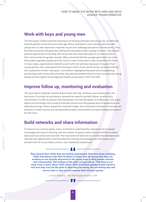### **Work with boys and young men**

The discussion underscored the importance of working with boys and young men, as attitudes towards gender are formed at an early age. Many contributors work actively with boys and young men to raise awareness of gender issues and challenge perceptions of masculinity. They find that young men are generally willing and interested to learn and get involved. They shared positive experiences of working with young men who have later gone on to work actively in their communities for gender equality. Many remarked that the younger generation are more favourable to gender equality and the issue of male involvement is less contentious for them. In many cases, organizations started to work with men and boys because of requests from young women, who understood that working on these issues would not be successful without the involvement of their male peers. Contributors highlighted the potential of establishing partnerships with universities and other educational establishments to reach and educate young people and the need to encourage and amplify young voices within the field.

#### **Improve follow up, monitoring and evaluation**

The slow nature of gender transformative work with men and boys was emphasized in the discussion. A number of contributors stressed the need for periodic follow-up after such interventions in order to prevent men falling back into harmful patterns of behaviour, and urged donors to fund longer-term projects that take into account the gradual pace of behavioural and attitudinal change. Others argued for improved, longer-term evaluation of projects involving men and boys in order to build up a strong evidence base, and therefore increase funding and support for this work.

### **Build networks and share information**

To advance our common goals, many contributors underlined the importance of increased knowledge and resource sharing, and the creation of spaces, both online and offline, to share best practices and lessons learned. The importance of networks to provide links between local, national and regional actors and facilitate this sharing of knowledge and information, and provide tools for accountable practice, was repeatedly emphasised.

**They shared that, while they are feeling empowered, they have been realizing, while discussing with their brothers at home, that the issues that they are working on are equally important to the young boys in their homes, schools, and communities. The leaders of the girls' groups told us "The boys in our class want to learn about child rights, child protection, gender-based violence and how they can join the girls in what they are doing, but are feeling shy and are not able to step up and express their interest openly.**

Laxman Belbase – the MenEngage Alliance, USA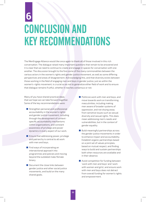# CONCLUSION AND KEY RECOMMENDATIONS **6**

The MenEngage Alliance would like once again to thank all of those involved in this rich conversation. The dialogue raised many important questions that remain to be answered and it is clear that we need to continue to create and engage in spaces for conversation with one another. The discussion brought to the fore some of the many commonalities between the various actors in the women's rights and gender justice movement, as well as some differing perspectives and areas of disagreement. Acknowledging this, and that diversity exists between those working in the field of engaging men and boys in gender justice, just as within the women's-rights movement, is crucial so as not to generalize either field of work and to ensure that dialogue remains fruitful, whether it reaches consensus or not.

Many of you have shared practical ideas that we hope we can take forward together. Some of the key recommendations were:

- $\blacksquare$  Strengthen personal and professional accountability in the women's rights and gender justice movement, including through the development of contextspecific accountability mechanisms within organizations, and constant awareness of privilege and power dynamics in every aspect of our work.
- **E** Ensure that addressing power, privilege and patriarchy is central to all work with men and boys.
- **Find ways of incorporating an** intersectional approach into programmes and policies and moving beyond the outdated male/female binary.
- Document the close links between gender justice and other social justice movements, and build on the many shared goals.
- $\blacksquare$  Politicize work with men and boys, and move towards work on transforming masculinities, including making men aware of broader systems of oppression, and not shying away from sensitive issues such as sexual diversity and sexual rights. This does mean addressing men's needs and vulnerabilities, but in the context of gender equality.
- $\blacksquare$  Build meaningful partnerships across the gender justice movements in order to enhance impact and accountability. Establish organic partnerships based on a joint set of values principles, based on mutual respect, and finding ways to build and sustain partnerships both when resources are available and in their absence.
- **Avoid competition for funding between** 'work with men and boys' and 'work with women and girls', and ensure work with men and boys does not detract from overall funding for women's rights and empowerment.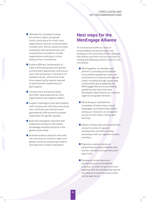#### CONCLUSION AND KEY RECOMMENDATIONS

■ Advocate for increased funding for women's rights and gender justice, particularly for small, local organizations who do crucial yet often invisible work. Donors should increase funding for intersectional work and make grants accessible to smaller organizations working on critical aspects of our movements.

Explore different combinations of male and female groups and 'gender synchronized' approaches, and ensure work with one group is not done in an isolated manner, while at the same time respecting the spaces required to build women's leadership and participation.

 $\blacksquare$  Increase work and partnerships with faith-based approaches, their organizations and religious leaders.

Support meaningful youth participation and increase work with boys and young men, and build upon the perceived generational shift towards increased cooperation for gender equality.

 $\blacksquare$  Build and strengthen networks that enable the sharing of information, knowledge and best practices in the gender justice field.

 $\blacksquare$  Build the evidence base for work with men and boys on women's rights and gender justice by conducting research and long-term project evaluations.

### **Next steps for the MenEngage Alliance**

To move forward with our work on accountability and partnerships, and building on the outcomes of the e-dialogue, the Alliance commits to do our very best to making the following actions a reality in the next phase:

Work together, as members and partners, to develop and establish accountability guidelines, tools and mechanisms at national and regional levels, including through supporting, contextualizing and adapting the MenEngage Alliance Accountability guidelines and tools that were developed collectively by our national, regional and global members.

While doing so, facilitate the translation of these tools in local languages, and disseminate widely among our networks, to strengthen access to information, linking and learning.

- $\blacksquare$  Based on these tools and mechanisms, conduct a series of capacity development and skills building workshops with our regional network members.
- **Organize a webinar series on** partnership and accountability with, and for, members and partners, and open to all.
- Develop an online course on partnership and accountability practices, in order to reach and work together with the membership base of the alliance around the world, which will be open to all.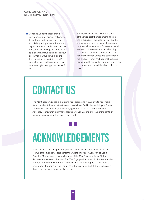#### CONCLUSION AND KEY RECOMMENDATIONS

■ Continue, under the leadership of our national and regional networks, to facilitate and support members to build organic partnerships among organizations and individuals, across the countries and regions, who want to exchange, include and learn about accountable ways to work on the transforming masculinities and/or engaging men and boys to advance women's rights and gender justice for all".

Finally, we would like to reiterate one of the strongest themes emerging from the e-dialogue - the need not to view the engaging men and boys and the women's rights work as separate. To move forward, we need to involve everyone in building a collective but diverse movement that advances gender justice and strives for a more equal world. We hope that by being in dialogue with each other, and work together as appropriate, we will be able to do just that.

## CONTACT US

The MenEngage Alliance is exploring next steps, and would love to hear more from you about the opportunities and needs identified in this e-dialogue. Please contact Joni van de Sand, the MenEngage Alliance Global Coordinator and Advocacy Manager at joni@menengage.org if you wish to share your thoughts or suggestions on any of the issues discussed.

# ACKNOWLEDGEMENTS

Nikki van der Gaag, independent gender consultant, and Sinéad Nolan, of the MenEngage Alliance Global Secretariat, wrote this report. Joni van de Sand, Oswaldo Montoya and Laxman Belbase of the MenEngage Alliance Global Secretariat made contributions. The MenEngage Alliance would like to thank the Women's Foundation Colorado for supporting this e-dialogue, the Institute of Development Studies for providing the online platform and all those who gave their time and insights to the discussion.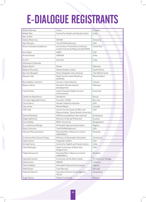# E-DIALOGUE REGISTRANTS

| Abbas Mancey                | Carya                                                                    | Canada              |
|-----------------------------|--------------------------------------------------------------------------|---------------------|
| Abhijit Das                 | Centre for Health and Social Justice                                     | India               |
| Abu Sufian                  |                                                                          |                     |
| Adella Msemwa               | <b>OXFAM</b>                                                             | Tanzania            |
| Alex Murphy                 | The ATHENA Network                                                       | <b>USA</b>          |
| Alvaro Campos Guadamuz      | University of Costa Rica/Instituto<br>Costarricense de Masculinidad WEM  | Costa Rica          |
| Amy Bank                    | <b>AWID</b>                                                              | <b>USA</b>          |
| Anand Pawar                 | <b>SAMYAK</b>                                                            | India               |
| Anchi1                      | Parichiti                                                                | India               |
| Athanasius Sibanda          |                                                                          |                     |
| Babar Bashir                | Rozan                                                                    | Pakistan            |
| Bafana Khumalo              | Sonke Gender Justice                                                     | South Africa        |
| Bas Van Bergeijk            | Peace Brigades International                                             | The Netherlands     |
| Bayano Valy                 | Rede Homens pela Mudança<br>(HOPEM)                                      | Mozambique          |
| <b>Bernadette Crawford</b>  | Concern International                                                    | Ireland             |
| <b>Bilquis Tahira</b>       | Shirakat-Partnership for<br>Development                                  | Pakistan            |
| Carole Shaw                 | Justice Equality Rights Access<br>International                          | Australia           |
| Catherine Nyambura          | Dandelion                                                                | Kenya               |
| Christian Ngendahimana      | Fountain-ISOKO                                                           | Burundi             |
| Chuck Derry                 | Gender Violence Institute                                                | <b>USA</b>          |
| Clay Jones                  | White Ribbon                                                             | Canada              |
| Cliff Leek                  | Center for the Study of Men and<br>Masculinities/ Stony Brook University | <b>USA</b>          |
| Daniel Molokele             | AIDS Accountability International                                        | Zimbabwe            |
| Diego Alphonso              | Ministry of Social Protection                                            | Guyana              |
| Dina Siddigi                | <b>BRAC University</b>                                                   | Bangladesh          |
| Dr. Uzodinma Adirieje       | Afrihealth Optonet Association                                           | Nigeria             |
| Ebony Johnson               | The ATHENA Network                                                       | <b>USA</b>          |
| Edouard Munyamaliza         | Rwanda Men's Resource Centre<br>(RWAMREC)                                | Rwanda              |
| Emilienne Alice Kouoh Elong | Ministry of Secondary Education                                          | Cameroon            |
| Fabio Verani                | Engender Health                                                          | <b>USA</b>          |
| Ahmad Faraz                 | Centre for Health and Social Justice                                     | India               |
| Farid Muttagin              | State University of New York,<br>Binghamton                              | <b>USA</b>          |
| Fidele Rutayisire           | Rwanda Men's Resource Centre<br>(RWAMREC)                                | Rwanda              |
| Gabriella Hosein            | University of the West Indies                                            | Trinidad and Tobago |
| Ghida Anani                 | ABAAD                                                                    | Lebanon             |
| Gloria Adebiyi              | Afrihealth Optonet Association                                           | Nigeria             |
| Hilde Roren                 | Care Norway                                                              | Norway              |
| Hlobsile Dlamini            | Swaziland Action Group Against<br>Abuse                                  | Swaziland           |
| Hugo Rocha                  | Padres Cariñosos                                                         | <b>Mexico</b>       |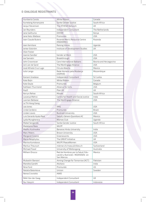#### E-DIALOGUE REGISTRANTS

| Humberto Carolo         | White Ribbon                                                                       | Canada                 |
|-------------------------|------------------------------------------------------------------------------------|------------------------|
| Itumeleng Komanyane     | Sonke Gender Justice                                                               | South Africa           |
| Jacqui Stevenson        | The ATHENA Network                                                                 | UK                     |
| Jan Reynders            | Independent Consultant                                                             | The Netherlands        |
| Jane Gaithuma           | <b>OXFAM</b>                                                                       | Kenya                  |
| Jane Kato-Wallace       | Promundo                                                                           | <b>USA</b>             |
| Jean Claude Butera      | Rwanda Men's Resource Centre<br>(RWAMREC)                                          | Rwanda                 |
| Jean Kemitare           | <b>Raising Voices</b>                                                              | Uganda                 |
| Jerker Edström          | Institute of Development Studies                                                   | UK                     |
| Jilian Foster           |                                                                                    |                        |
| Joanne Sandler          | Gender at Work                                                                     | <b>USA</b>             |
| Joe Samalin             | Breakthrough                                                                       | <b>USA</b>             |
| John Crownover          | Care International Balkans                                                         | Bosnia and Herzegovina |
| Joni van de Sand        | The MenEngage Alliance                                                             | <b>USA</b>             |
| José Alfredo Cruz Lugo  | Círculo Abierto                                                                    | Mexico                 |
| Julio Langa             | Rede Homens pela Mudança<br>(HOPEM)                                                | Mozambique             |
| Kamani Jinadasa         | Independent Consultant                                                             | Sri Lanka              |
| Kate Bojin              | White Ribbon                                                                       | Canada                 |
| Kate Doyle              | Promundo                                                                           | Belgium                |
| Kathleen Thurmond       | Alliance for Girls                                                                 | <b>USA</b>             |
| KayD                    | Plan UK                                                                            | UK                     |
| Kerryn Rehse            | Mosaic                                                                             | South Africa           |
| Lavanya Mehra           | Centre for Health and Social Justice                                               | India                  |
| Laxman Belbase          | The MenEngage Alliance                                                             | <b>USA</b>             |
| Le Thi Hong Giang       |                                                                                    |                        |
| Lea Jones               | <b>IPAS</b>                                                                        | <b>USA</b>             |
| Linda Cerdeira          | Promundo                                                                           | Brazil                 |
| Linden Lewis            | <b>Bucknell University</b>                                                         | <b>USA</b>             |
| Luis Gerardo Ayala Real | Salud y Género Querétaro AC                                                        | Mexico                 |
| Lydia Mungherera        | Mamas Club                                                                         | Uganda                 |
| Mabel Sengendo          | Sonke Gender Justice                                                               | South Africa           |
| <b>Madeleine Rees</b>   | <b>WILPF</b>                                                                       |                        |
| Madhu Kushwaha          | Banaras Hindu University                                                           | India                  |
| Marc Peters             | <b>Brown University</b>                                                            | <b>USA</b>             |
| Margaret Greene         | Greeneworks                                                                        | <b>USA</b>             |
| Maria Neophytou         | The GREAT Initiative                                                               | <b>UK</b>              |
| Marina Kumskova         | WILPF/PeaceWomen                                                                   | <b>USA</b>             |
| Markus Theunurt         | männer.ch/masculinities.ch                                                         | Switzerland            |
| Michael Flood           | University of Wollongong                                                           | Australia              |
| Milhem Orozco           | Red de Hombres por la Salud, Edu-<br>cación y Nutrición-REDHOSEN- en<br>San Marcos | Mexico                 |
| Mubashir Banoori        | Aiming Change for Tomorrow (ACT)                                                   | Pakistan               |
| Mandita Gandhi          | Akshara                                                                            | India                  |
| Nina Ford               | Promundo                                                                           | US                     |
| Natalia Batenkova       | Unizon                                                                             | Sweden                 |
| Nerea Craviotto         | <b>AWID</b>                                                                        |                        |
| Nikki Van der Gaag      | Independent Consultant                                                             | <b>UK</b>              |
| Nur Hasyim              | Independent Consultant                                                             | Indonesia              |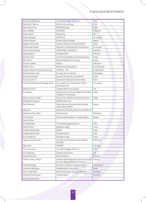| Oswaldo Montoya               | The MenEngage Alliance                                               | <b>USA</b>  |
|-------------------------------|----------------------------------------------------------------------|-------------|
| Patricia D. Morris            | Morris Consulting                                                    | <b>USA</b>  |
| Pauline Gomes                 | Breakthrough                                                         | India       |
| Peter Weller                  | CariMAN                                                              | Jamaica     |
| Peter Grant                   | Restored                                                             | UK          |
| Prabu Deepan                  | Tearfund                                                             | Sri Lanka   |
| Radha Paudel                  | Action Works Nepal                                                   | Nepal       |
| Rajdev Chturvedi              | Gramin Punarnirman Sansthan                                          | India       |
| Ratnarajah Nalini             | Women's Development Innovators                                       | Sri Lanka   |
| Raymond Havwala               | YWCA Men's Network                                                   | Zambia      |
| Regina Nava                   | Independent                                                          | Mexico      |
| Rimjhim Jain                  | Centre for Health and Social Justice                                 | India       |
| Ritu Parna                    | Nazariya Resource Group                                              | India       |
| <b>Rizwan Saeed</b>           | Rozan                                                                | Pakistan    |
| Robert Lutz                   | MenCare Switzerland                                                  | Switzerland |
| Roberto Martín Samayoa Ochoa  | PASMO - PSI                                                          | Guatemala   |
| Rubén Reyes Jirón             | Puntos de Encuentro                                                  | Nicaragua   |
| Rujuta Teredesai              | <b>Equal Community Foundation</b>                                    | India       |
| Rus Ervin Funk                | Center for Women and Families                                        | <b>USA</b>  |
| Samitha Pallewela Gamage Dona | Foundation for Innovative Social<br>Development                      | Sri Lanka   |
| Sandy Ruxton                  | Independent Consultant                                               | UK          |
| Dr. Sanjay                    | Department of Social Work, M.G.Kashi<br>Vidyapith University,        | India       |
| Satish Kumar Singh            | Centre for Health and Social Justice                                 | India       |
| Sebastian Molano              | <b>OXFAM America</b>                                                 |             |
| Seri Wendoh                   | International Planned Parenthood<br>Federation (IPPF)                | Kenya       |
| sfspear                       | Women's Advisory Service of UNA-UK                                   |             |
| Shahwaiz Muzaffer             | Kherunnass                                                           | Pakistan    |
| Shaima Aly                    | Kenana Association in Upper Egypt                                    | Egypt       |
| Shem Otina                    |                                                                      |             |
| Sinéad Nolan                  | The MenEngage Alliance                                               | <b>USA</b>  |
| Sonali Khan                   | Breakthrough                                                         | India       |
| Srilatha Batliwala            | <b>AWID</b>                                                          | India       |
| Stephanie Perlson             | Greeneworks                                                          | <b>USA</b>  |
| Sunita Menon                  | Breakthrough                                                         | India       |
| Syeda Ayesha Javeri           | All Pakistan Women's Association<br>(APWA)                           | Pakistan    |
| Tabu Sarr                     | <b>TANGO</b>                                                         | Gambia      |
| Tim Harwood                   | The MenEngage Alliance                                               | <b>USA</b>  |
| Tina Wallace                  | Oxford University                                                    | <b>UK</b>   |
| <b>Todd Minerson</b>          | White Ribbon                                                         | Canada      |
| Tonieh Talery-Wiles           | Independent National Commission on<br>human Rights(INCHR) of Liberia | Liberia     |
| Tsitsi Mhlanga                | Women in Politics Support Unit                                       | Zimbabwe    |
| Vandana Mahajan               | Independent Consultant                                               | India       |
| Vidar Vetterfalk              | Men for Gender Equality Sweden                                       | Sweden      |
| Vidyaratha Kissoon            | Independent                                                          | Guyana      |
| Wituly Mwenitete              |                                                                      |             |